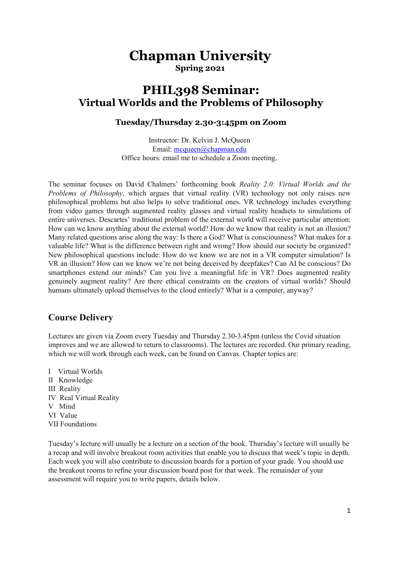# **Chapman University Spring 2021**

# **PHIL398 Seminar: Virtual Worlds and the Problems of Philosophy**

### **Tuesday/Thursday 2.30-3:45pm on Zoom**

Instructor: Dr. Kelvin J. McQueen Email: mcqueen@chapman.edu Office hours: email me to schedule a Zoom meeting.

The seminar focuses on David Chalmers' forthcoming book *Reality 2.0: Virtual Worlds and the Problems of Philosophy*, which argues that virtual reality (VR) technology not only raises new philosophical problems but also helps to solve traditional ones. VR technology includes everything from video games through augmented reality glasses and virtual reality headsets to simulations of entire universes. Descartes' traditional problem of the external world will receive particular attention: How can we know anything about the external world? How do we know that reality is not an illusion? Many related questions arise along the way: Is there a God? What is consciousness? What makes for a valuable life? What is the difference between right and wrong? How should our society be organized? New philosophical questions include: How do we know we are not in a VR computer simulation? Is VR an illusion? How can we know we're not being deceived by deepfakes? Can AI be conscious? Do smartphones extend our minds? Can you live a meaningful life in VR? Does augmented reality genuinely augment reality? Are there ethical constraints on the creators of virtual worlds? Should humans ultimately upload themselves to the cloud entirely? What is a computer, anyway?

# **Course Delivery**

Lectures are given via Zoom every Tuesday and Thursday 2.30-3.45pm (unless the Covid situation improves and we are allowed to return to classrooms). The lectures are recorded. Our primary reading, which we will work through each week, can be found on Canvas. Chapter topics are:

I Virtual Worlds II Knowledge III Reality IV Real Virtual Reality V Mind VI Value VII Foundations

Tuesday's lecture will usually be a lecture on a section of the book. Thursday's lecture will usually be a recap and will involve breakout room activities that enable you to discuss that week's topic in depth. Each week you will also contribute to discussion boards for a portion of your grade. You should use the breakout rooms to refine your discussion board post for that week. The remainder of your assessment will require you to write papers, details below.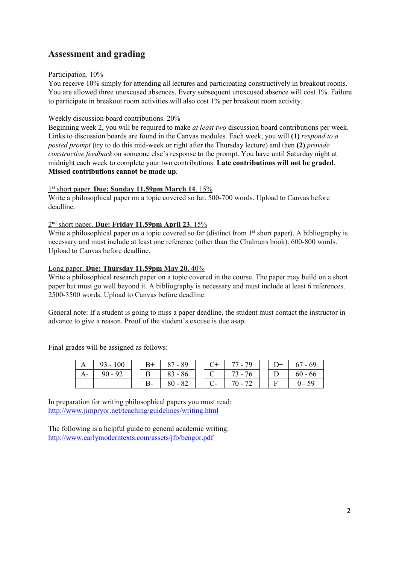# **Assessment and grading**

### Participation.  $10\%$

You receive 10% simply for attending all lectures and participating constructively in breakout rooms. You are allowed three unexcused absences. Every subsequent unexcused absence will cost 1%. Failure to participate in breakout room activities will also cost 1% per breakout room activity.

### Weekly discussion board contributions. 20%

Beginning week 2, you will be required to make *at least two* discussion board contributions per week. Links to discussion boards are found in the Canvas modules. Each week, you will **(1)** *respond to a posted prompt* (try to do this mid-week or right after the Thursday lecture) and then **(2)** *provide constructive feedback* on someone else's response to the prompt. You have until Saturday night at midnight each week to complete your two contributions. **Late contributions will not be graded**. **Missed contributions cannot be made up**.

### 1st short paper. **Due: Sunday 11.59pm March 14**. 15%

Write a philosophical paper on a topic covered so far. 500-700 words. Upload to Canvas before deadline.

## 2nd short paper. **Due: Friday 11.59pm April 23**. 15%

Write a philosophical paper on a topic covered so far (distinct from 1<sup>st</sup> short paper). A bibliography is necessary and must include at least one reference (other than the Chalmers book). 600-800 words. Upload to Canvas before deadline.

### Long paper. **Due: Thursday 11.59pm May 20.** 40%

Write a philosophical research paper on a topic covered in the course. The paper may build on a short paper but must go well beyond it. A bibliography is necessary and must include at least 6 references. 2500-3500 words. Upload to Canvas before deadline.

General note: If a student is going to miss a paper deadline, the student must contact the instructor in advance to give a reason. Proof of the student's excuse is due asap.

Final grades will be assigned as follows:

|      | $\vert$ 93 - 100 | $B+$  | $87 - 89$                                    |       | $C+$ 77 - 79  | $D+$ 1 | $67 - 69$ |
|------|------------------|-------|----------------------------------------------|-------|---------------|--------|-----------|
| $A-$ | $90 - 92$        |       | $B \begin{array}{ c c } 83 - 86 \end{array}$ |       | C   $73 - 76$ |        | $60 - 66$ |
|      |                  | $B -$ | $180 - 82$                                   | $C$ - | 70 - 72       |        | $0 - 59$  |

In preparation for writing philosophical papers you must read: <http://www.jimpryor.net/teaching/guidelines/writing.html>

The following is a helpful guide to general academic writing: <http://www.earlymoderntexts.com/assets/jfb/bengor.pdf>